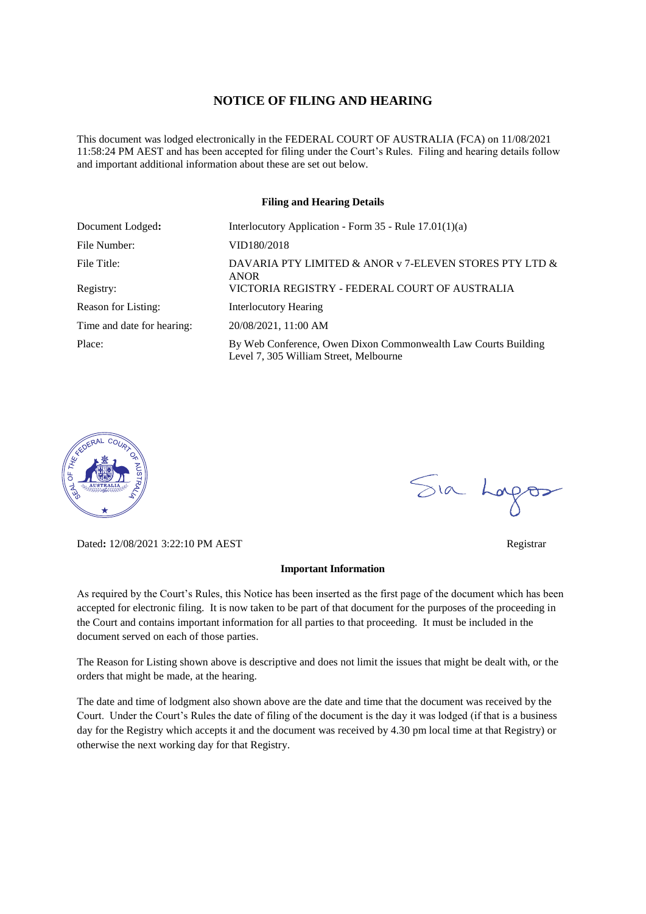#### **NOTICE OF FILING AND HEARING**

This document was lodged electronically in the FEDERAL COURT OF AUSTRALIA (FCA) on 11/08/2021 11:58:24 PM AEST and has been accepted for filing under the Court's Rules. Filing and hearing details follow and important additional information about these are set out below.

#### **Filing and Hearing Details**

| Document Lodged:           | Interlocutory Application - Form $35$ - Rule $17.01(1)(a)$                                               |
|----------------------------|----------------------------------------------------------------------------------------------------------|
| File Number:               | VID180/2018                                                                                              |
| File Title:                | DAVARIA PTY LIMITED & ANOR v 7-ELEVEN STORES PTY LTD $\&$<br><b>ANOR</b>                                 |
| Registry:                  | VICTORIA REGISTRY - FEDERAL COURT OF AUSTRALIA                                                           |
| Reason for Listing:        | <b>Interlocutory Hearing</b>                                                                             |
| Time and date for hearing: | 20/08/2021, 11:00 AM                                                                                     |
| Place:                     | By Web Conference, Owen Dixon Commonwealth Law Courts Building<br>Level 7, 305 William Street, Melbourne |



Dated**:** 12/08/2021 3:22:10 PM AEST Registrar

#### **Important Information**

As required by the Court's Rules, this Notice has been inserted as the first page of the document which has been accepted for electronic filing. It is now taken to be part of that document for the purposes of the proceeding in the Court and contains important information for all parties to that proceeding. It must be included in the document served on each of those parties.

The Reason for Listing shown above is descriptive and does not limit the issues that might be dealt with, or the orders that might be made, at the hearing.

The date and time of lodgment also shown above are the date and time that the document was received by the Court. Under the Court's Rules the date of filing of the document is the day it was lodged (if that is a business day for the Registry which accepts it and the document was received by 4.30 pm local time at that Registry) or otherwise the next working day for that Registry.

Sia Logos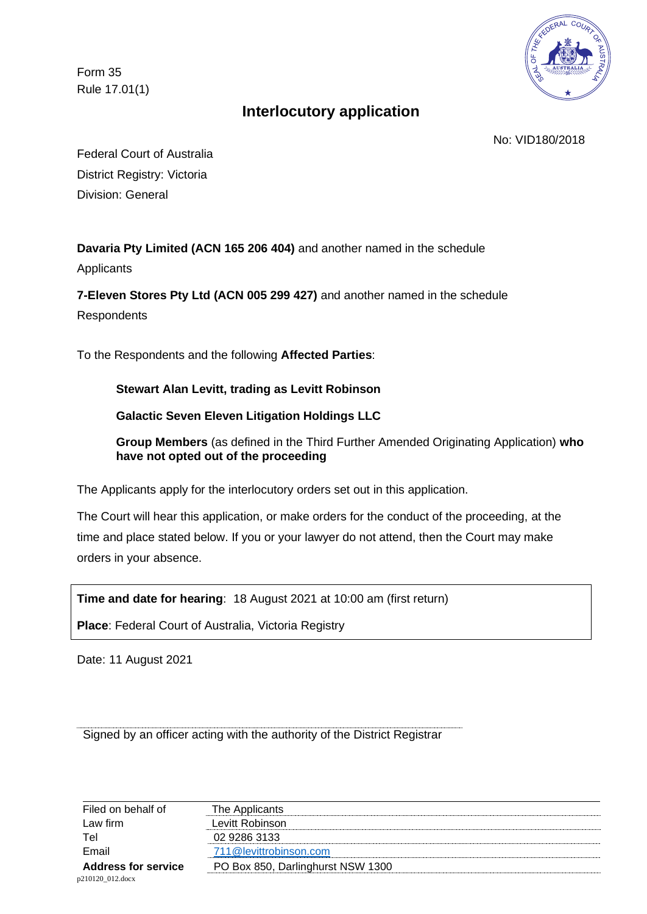Form 35 Rule 17.01(1)



# **Interlocutory application**

No: VID180/2018

Federal Court of Australia District Registry: Victoria Division: General

**Davaria Pty Limited (ACN 165 206 404)** and another named in the schedule

**Applicants** 

**7-Eleven Stores Pty Ltd (ACN 005 299 427)** and another named in the schedule **Respondents** 

To the Respondents and the following **Affected Parties**:

**Stewart Alan Levitt, trading as Levitt Robinson** 

**Galactic Seven Eleven Litigation Holdings LLC** 

**Group Members** (as defined in the Third Further Amended Originating Application) **who have not opted out of the proceeding** 

The Applicants apply for the interlocutory orders set out in this application.

The Court will hear this application, or make orders for the conduct of the proceeding, at the time and place stated below. If you or your lawyer do not attend, then the Court may make orders in your absence.

**Time and date for hearing**: 18 August 2021 at 10:00 am (first return)

**Place**: Federal Court of Australia, Victoria Registry

Date: 11 August 2021

Signed by an officer acting with the authority of the District Registrar

| Filed on behalf of         | The Applicants                    |
|----------------------------|-----------------------------------|
| Law firm                   | Levitt Robinson                   |
| Tel                        | 02 9286 3133                      |
| Email                      | 711@levittrobinson.com            |
| <b>Address for service</b> | PO Box 850, Darlinghurst NSW 1300 |
| p210120 012.docx           |                                   |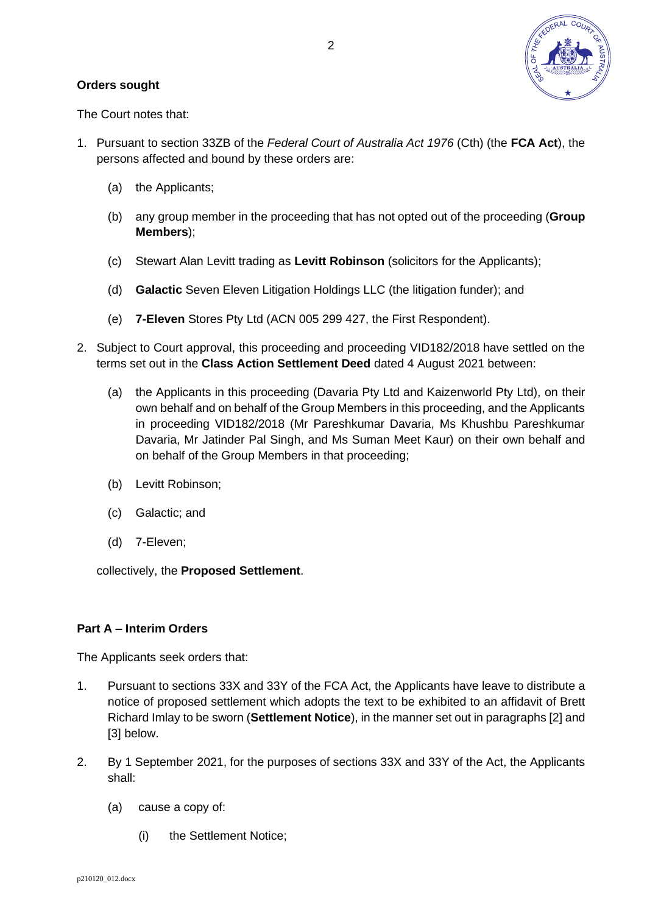

### **Orders sought**

The Court notes that:

- 1. Pursuant to section 33ZB of the *Federal Court of Australia Act 1976* (Cth) (the **FCA Act**), the persons affected and bound by these orders are:
	- (a) the Applicants;
	- (b) any group member in the proceeding that has not opted out of the proceeding (**Group Members**);
	- (c) Stewart Alan Levitt trading as **Levitt Robinson** (solicitors for the Applicants);
	- (d) **Galactic** Seven Eleven Litigation Holdings LLC (the litigation funder); and
	- (e) **7-Eleven** Stores Pty Ltd (ACN 005 299 427, the First Respondent).
- 2. Subject to Court approval, this proceeding and proceeding VID182/2018 have settled on the terms set out in the **Class Action Settlement Deed** dated 4 August 2021 between:
	- (a) the Applicants in this proceeding (Davaria Pty Ltd and Kaizenworld Pty Ltd), on their own behalf and on behalf of the Group Members in this proceeding, and the Applicants in proceeding VID182/2018 (Mr Pareshkumar Davaria, Ms Khushbu Pareshkumar Davaria, Mr Jatinder Pal Singh, and Ms Suman Meet Kaur) on their own behalf and on behalf of the Group Members in that proceeding;
	- (b) Levitt Robinson;
	- (c) Galactic; and
	- (d) 7-Eleven;

collectively, the **Proposed Settlement**.

### **Part A – Interim Orders**

The Applicants seek orders that:

- 1. Pursuant to sections 33X and 33Y of the FCA Act, the Applicants have leave to distribute a notice of proposed settlement which adopts the text to be exhibited to an affidavit of Brett Richard Imlay to be sworn (**Settlement Notice**), in the manner set out in paragraphs [\[2\]](#page-2-0) and [\[3\]](#page-4-0) below.
- <span id="page-2-0"></span>2. By 1 September 2021, for the purposes of sections 33X and 33Y of the Act, the Applicants shall:
	- (a) cause a copy of:
		- (i) the Settlement Notice;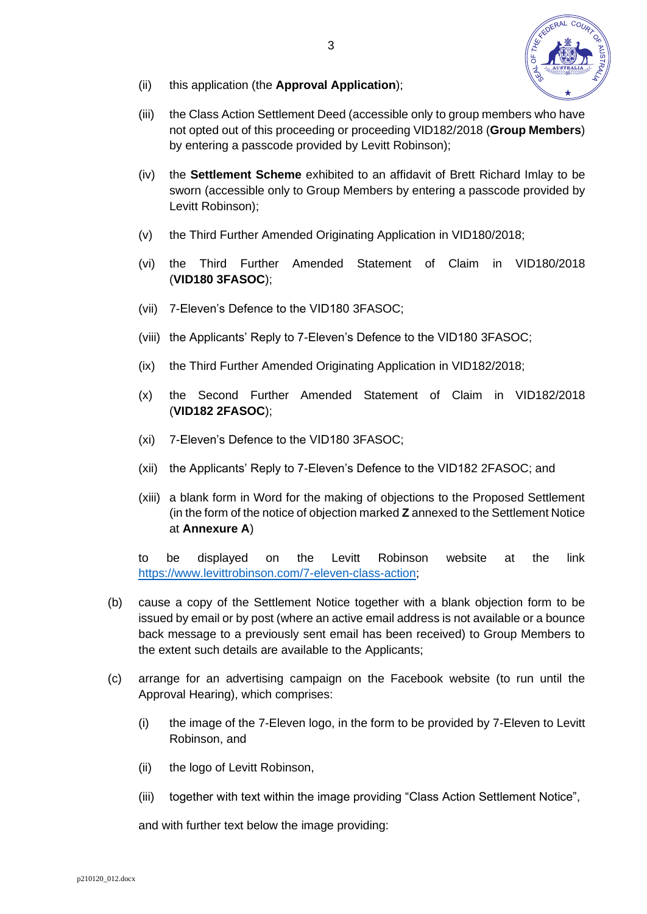

- (ii) this application (the **Approval Application**);
- (iii) the Class Action Settlement Deed (accessible only to group members who have not opted out of this proceeding or proceeding VID182/2018 (**Group Members**) by entering a passcode provided by Levitt Robinson);
- (iv) the **Settlement Scheme** exhibited to an affidavit of Brett Richard Imlay to be sworn (accessible only to Group Members by entering a passcode provided by Levitt Robinson);
- (v) the Third Further Amended Originating Application in VID180/2018;
- (vi) the Third Further Amended Statement of Claim in VID180/2018 (**VID180 3FASOC**);
- (vii) 7-Eleven's Defence to the VID180 3FASOC;
- (viii) the Applicants' Reply to 7-Eleven's Defence to the VID180 3FASOC;
- (ix) the Third Further Amended Originating Application in VID182/2018;
- (x) the Second Further Amended Statement of Claim in VID182/2018 (**VID182 2FASOC**);
- (xi) 7-Eleven's Defence to the VID180 3FASOC;
- (xii) the Applicants' Reply to 7-Eleven's Defence to the VID182 2FASOC; and
- (xiii) a blank form in Word for the making of objections to the Proposed Settlement (in the form of the notice of objection marked **Z** annexed to the Settlement Notice at **Annexure A**)

to be displayed on the Levitt Robinson website at the link [https://www.levittrobinson.com/7-eleven-class-action;](https://www.levittrobinson.com/7-eleven-class-action)

- (b) cause a copy of the Settlement Notice together with a blank objection form to be issued by email or by post (where an active email address is not available or a bounce back message to a previously sent email has been received) to Group Members to the extent such details are available to the Applicants;
- (c) arrange for an advertising campaign on the Facebook website (to run until the Approval Hearing), which comprises:
	- (i) the image of the 7-Eleven logo, in the form to be provided by 7-Eleven to Levitt Robinson, and
	- (ii) the logo of Levitt Robinson,
	- (iii) together with text within the image providing "Class Action Settlement Notice",

and with further text below the image providing: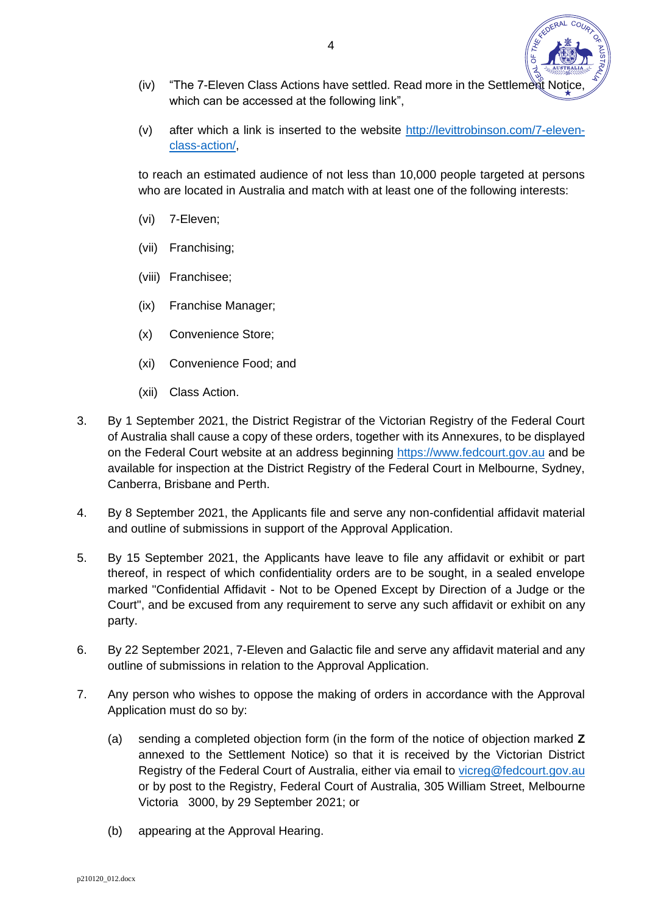- (iv) "The 7-Eleven Class Actions have settled. Read more in the Settlement Notice which can be accessed at the following link".
- (v) after which a link is inserted to the website [http://levittrobinson.com/7-eleven](http://levittrobinson.com/7-eleven-class-action/)[class-action/,](http://levittrobinson.com/7-eleven-class-action/)

to reach an estimated audience of not less than 10,000 people targeted at persons who are located in Australia and match with at least one of the following interests:

- (vi) 7-Eleven;
- (vii) Franchising;
- (viii) Franchisee;
- (ix) Franchise Manager;
- (x) Convenience Store;
- (xi) Convenience Food; and
- (xii) Class Action.
- <span id="page-4-0"></span>3. By 1 September 2021, the District Registrar of the Victorian Registry of the Federal Court of Australia shall cause a copy of these orders, together with its Annexures, to be displayed on the Federal Court website at an address beginning [https://www.fedcourt.gov.au](https://www.fedcourt.gov.au/) and be available for inspection at the District Registry of the Federal Court in Melbourne, Sydney, Canberra, Brisbane and Perth.
- 4. By 8 September 2021, the Applicants file and serve any non-confidential affidavit material and outline of submissions in support of the Approval Application.
- 5. By 15 September 2021, the Applicants have leave to file any affidavit or exhibit or part thereof, in respect of which confidentiality orders are to be sought, in a sealed envelope marked "Confidential Affidavit - Not to be Opened Except by Direction of a Judge or the Court", and be excused from any requirement to serve any such affidavit or exhibit on any party.
- 6. By 22 September 2021, 7-Eleven and Galactic file and serve any affidavit material and any outline of submissions in relation to the Approval Application.
- 7. Any person who wishes to oppose the making of orders in accordance with the Approval Application must do so by:
	- (a) sending a completed objection form (in the form of the notice of objection marked **Z** annexed to the Settlement Notice) so that it is received by the Victorian District Registry of the Federal Court of Australia, either via email to [vicreg@fedcourt.gov.au](mailto:vicreg@fedcourt.gov.au) or by post to the Registry, Federal Court of Australia, 305 William Street, Melbourne Victoria 3000, by 29 September 2021; or
	- (b) appearing at the Approval Hearing.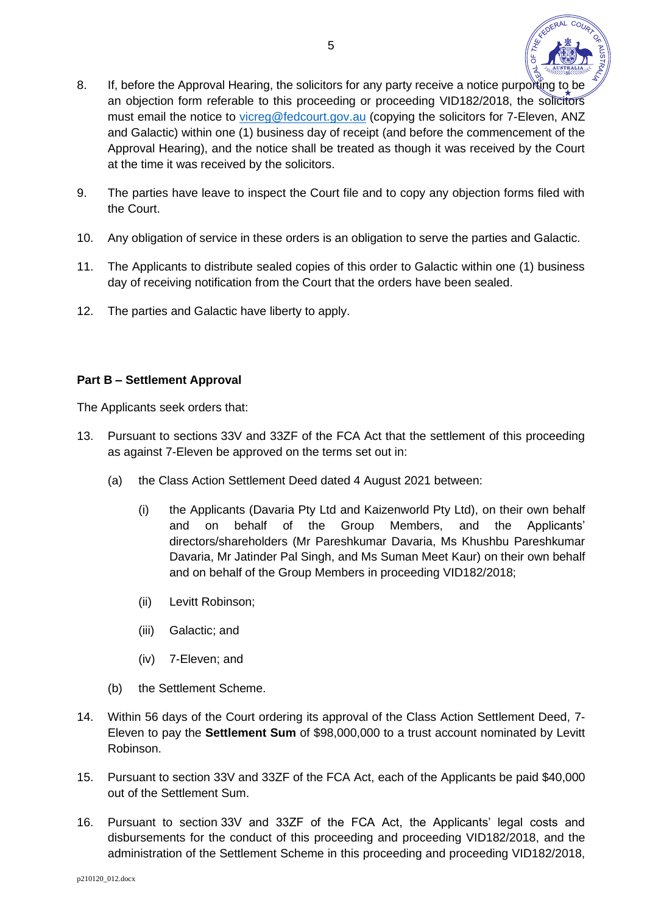

- 8. If, before the Approval Hearing, the solicitors for any party receive a notice purporting to be an objection form referable to this proceeding or proceeding VID182/2018, the solicitors must email the notice to [vicreg@fedcourt.gov.au](mailto:vicreg@fedcourt.gov.au) (copying the solicitors for 7-Eleven, ANZ and Galactic) within one (1) business day of receipt (and before the commencement of the Approval Hearing), and the notice shall be treated as though it was received by the Court at the time it was received by the solicitors.
- 9. The parties have leave to inspect the Court file and to copy any objection forms filed with the Court.
- 10. Any obligation of service in these orders is an obligation to serve the parties and Galactic.
- 11. The Applicants to distribute sealed copies of this order to Galactic within one (1) business day of receiving notification from the Court that the orders have been sealed.
- 12. The parties and Galactic have liberty to apply.

## **Part B – Settlement Approval**

The Applicants seek orders that:

- 13. Pursuant to sections 33V and 33ZF of the FCA Act that the settlement of this proceeding as against 7-Eleven be approved on the terms set out in:
	- (a) the Class Action Settlement Deed dated 4 August 2021 between:
		- (i) the Applicants (Davaria Pty Ltd and Kaizenworld Pty Ltd), on their own behalf and on behalf of the Group Members, and the Applicants' directors/shareholders (Mr Pareshkumar Davaria, Ms Khushbu Pareshkumar Davaria, Mr Jatinder Pal Singh, and Ms Suman Meet Kaur) on their own behalf and on behalf of the Group Members in proceeding VID182/2018;
		- (ii) Levitt Robinson;
		- (iii) Galactic; and
		- (iv) 7-Eleven; and
	- (b) the Settlement Scheme.
- 14. Within 56 days of the Court ordering its approval of the Class Action Settlement Deed, 7- Eleven to pay the **Settlement Sum** of \$98,000,000 to a trust account nominated by Levitt Robinson.
- 15. Pursuant to section 33V and 33ZF of the FCA Act, each of the Applicants be paid \$40,000 out of the Settlement Sum.
- 16. Pursuant to section 33V and 33ZF of the FCA Act, the Applicants' legal costs and disbursements for the conduct of this proceeding and proceeding VID182/2018, and the administration of the Settlement Scheme in this proceeding and proceeding VID182/2018,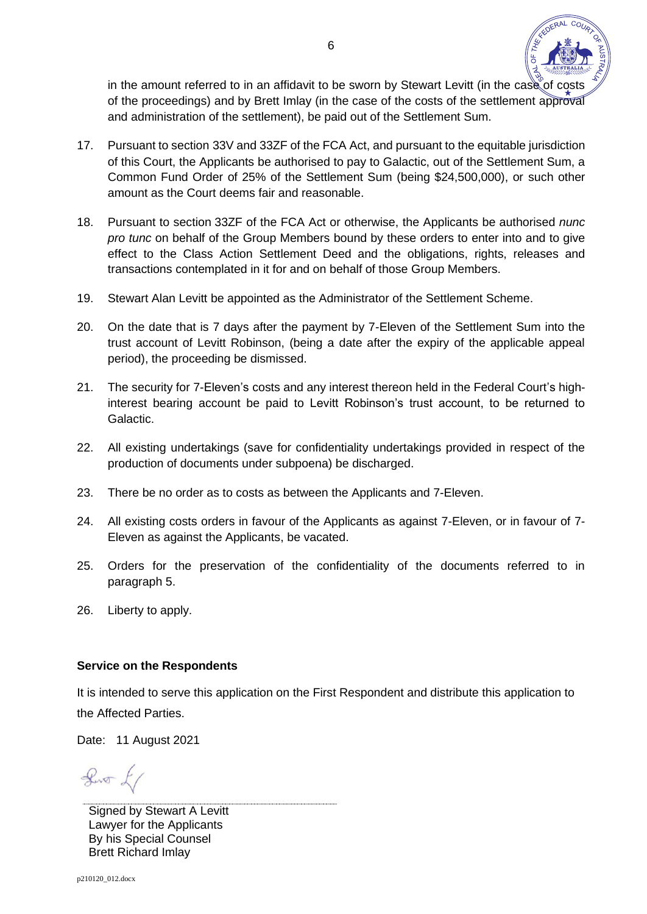

in the amount referred to in an affidavit to be sworn by Stewart Levitt (in the case of costs of the proceedings) and by Brett Imlay (in the case of the costs of the settlement approval and administration of the settlement), be paid out of the Settlement Sum.

- 17. Pursuant to section 33V and 33ZF of the FCA Act, and pursuant to the equitable jurisdiction of this Court, the Applicants be authorised to pay to Galactic, out of the Settlement Sum, a Common Fund Order of 25% of the Settlement Sum (being \$24,500,000), or such other amount as the Court deems fair and reasonable.
- 18. Pursuant to section 33ZF of the FCA Act or otherwise, the Applicants be authorised *nunc pro tunc* on behalf of the Group Members bound by these orders to enter into and to give effect to the Class Action Settlement Deed and the obligations, rights, releases and transactions contemplated in it for and on behalf of those Group Members.
- 19. Stewart Alan Levitt be appointed as the Administrator of the Settlement Scheme.
- 20. On the date that is 7 days after the payment by 7-Eleven of the Settlement Sum into the trust account of Levitt Robinson, (being a date after the expiry of the applicable appeal period), the proceeding be dismissed.
- 21. The security for 7-Eleven's costs and any interest thereon held in the Federal Court's highinterest bearing account be paid to Levitt Robinson's trust account, to be returned to Galactic.
- 22. All existing undertakings (save for confidentiality undertakings provided in respect of the production of documents under subpoena) be discharged.
- 23. There be no order as to costs as between the Applicants and 7-Eleven.
- 24. All existing costs orders in favour of the Applicants as against 7-Eleven, or in favour of 7- Eleven as against the Applicants, be vacated.
- 25. Orders for the preservation of the confidentiality of the documents referred to in paragraph 5.
- 26. Liberty to apply.

### **Service on the Respondents**

It is intended to serve this application on the First Respondent and distribute this application to the Affected Parties.

Date: 11 August 2021

 $\sqrt{2}$ 

Signed by Stewart A Levitt Lawyer for the Applicants By his Special Counsel Brett Richard Imlay